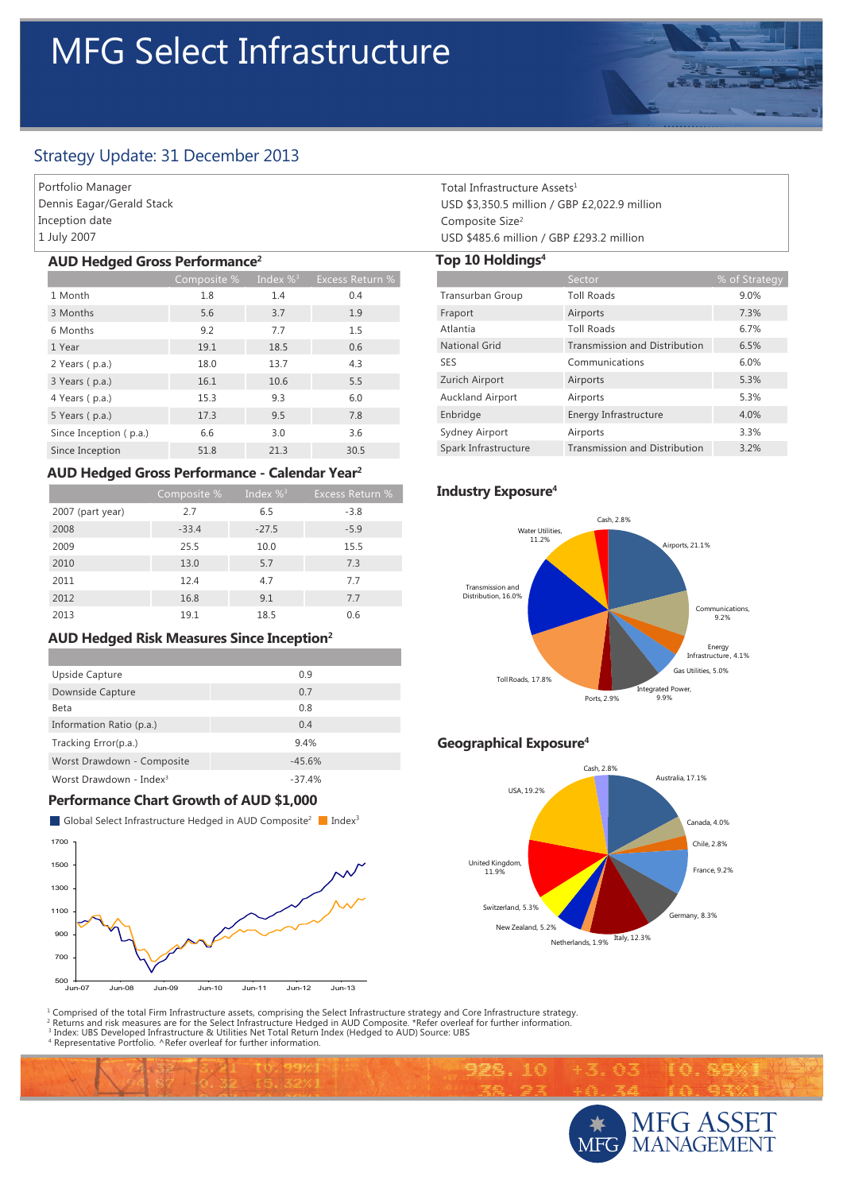# MFG Select Infrastructure



Portfolio Manager Dennis Eagar/Gerald Stack Inception date 1 July 2007

#### **AUD Hedged Gross Performance2**

|                        | Composite % | Index $\%$ <sup>3</sup> | <b>Excess Return %</b> |
|------------------------|-------------|-------------------------|------------------------|
| 1 Month                | 1.8         | 1.4                     | 0.4                    |
| 3 Months               | 5.6         | 3.7                     | 1.9                    |
| 6 Months               | 9.2         | 7.7                     | 1.5                    |
| 1 Year                 | 19.1        | 18.5                    | 0.6                    |
| 2 Years (p.a.)         | 18.0        | 13.7                    | 4.3                    |
| 3 Years (p.a.)         | 16.1        | 10.6                    | 5.5                    |
| 4 Years (p.a.)         | 15.3        | 9.3                     | 6.0                    |
| 5 Years (p.a.)         | 17.3        | 9.5                     | 7.8                    |
| Since Inception (p.a.) | 6.6         | 3.0                     | 3.6                    |
| Since Inception        | 51.8        | 21.3                    | 30.5                   |

#### **AUD Hedged Gross Performance - Calendar Year2**

|                  | Composite % | Index $\%$ <sup>3</sup> | <b>Excess Return %</b> |
|------------------|-------------|-------------------------|------------------------|
| 2007 (part year) | 2.7         | 6.5                     | $-3.8$                 |
| 2008             | $-33.4$     | $-27.5$                 | $-5.9$                 |
| 2009             | 25.5        | 10.0                    | 15.5                   |
| 2010             | 13.0        | 5.7                     | 7.3                    |
| 2011             | 12.4        | 4.7                     | 7.7                    |
| 2012             | 16.8        | 9.1                     | 7.7                    |
| 2013             | 19.1        | 18.5                    | 0.6                    |

# **AUD Hedged Risk Measures Since Inception2**

| Upside Capture                      | 0.9      |
|-------------------------------------|----------|
| Downside Capture                    | 0.7      |
| Beta                                | 0.8      |
| Information Ratio (p.a.)            | 0.4      |
| Tracking Error(p.a.)                | 9.4%     |
| Worst Drawdown - Composite          | $-45.6%$ |
| Worst Drawdown - Index <sup>3</sup> | $-37.4%$ |

# **Performance Chart Growth of AUD \$1,000**

**Index**<sup>3</sup> Global Select Infrastructure Hedged in AUD Composite<sup>2</sup> Index<sup>3</sup>



Total Infrastructure Assets1 USD \$3,350.5 million / GBP £2,022.9 million Composite Size2 USD \$485.6 million / GBP £293.2 million

#### **Top 10 Holdings4**

|                         | Sector                               | % of Strategy |
|-------------------------|--------------------------------------|---------------|
| Transurban Group        | <b>Toll Roads</b>                    | 9.0%          |
| Fraport                 | Airports                             | 7.3%          |
| Atlantia                | <b>Toll Roads</b>                    | 6.7%          |
| <b>National Grid</b>    | <b>Transmission and Distribution</b> | 6.5%          |
| <b>SES</b>              | Communications                       | 6.0%          |
| Zurich Airport          | Airports                             | 5.3%          |
| <b>Auckland Airport</b> | Airports                             | 5.3%          |
| Enbridge                | Energy Infrastructure                | 4.0%          |
| Sydney Airport          | Airports                             | 3.3%          |
| Spark Infrastructure    | <b>Transmission and Distribution</b> | 3.2%          |

# **Industry Exposure4**



# **Geographical Exposure4**

998.10



1 Comprised of the total Firm Infrastructure assets, comprising the Select Infrastructure strategy and Core Infrastructure strategy.

<sup>2</sup> Returns and risk measures are for the Select Infrastructure Hedged in AUD Composite. \*Refer overleaf for further information.<br><sup>3</sup> Index: UBS Developed Infrastructure & Utilities Net Total Return Index (Hedged to AUD) S



通河

『春』発展例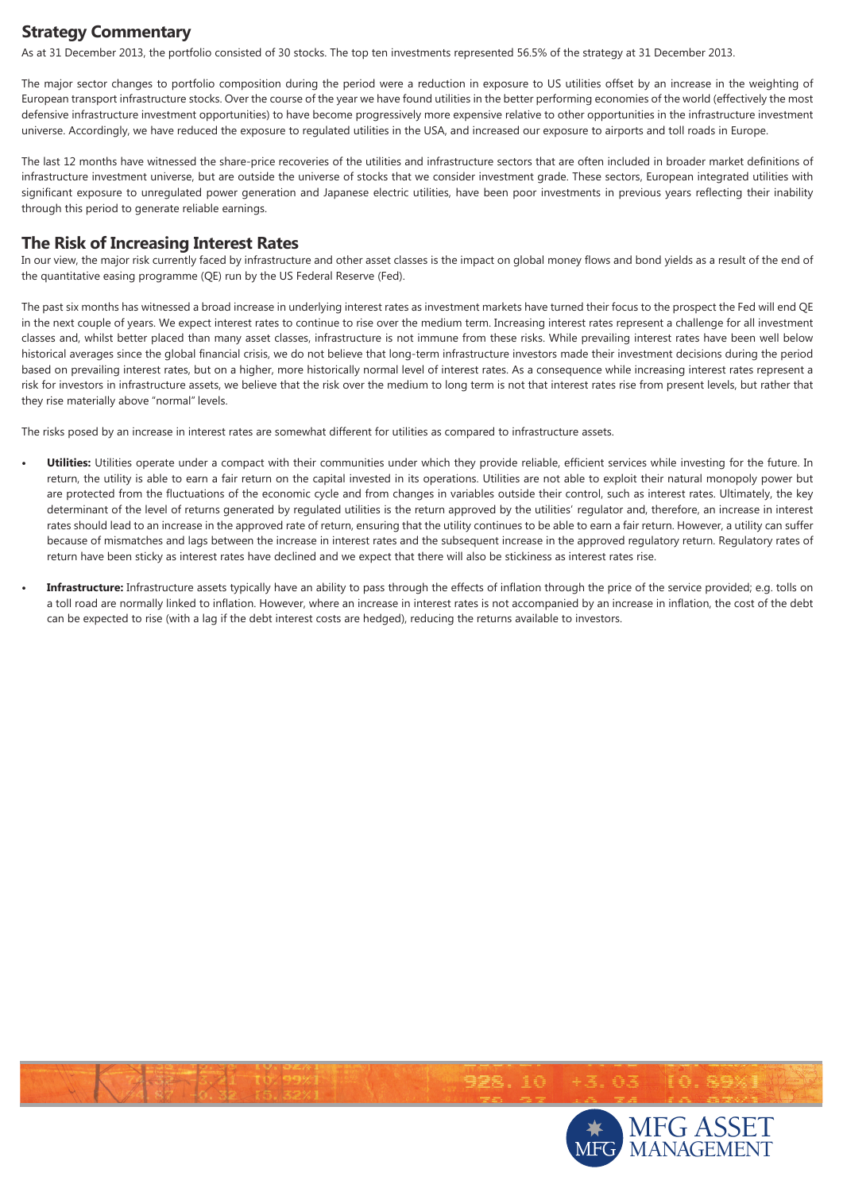# **Strategy Commentary**

As at 31 December 2013, the portfolio consisted of 30 stocks. The top ten investments represented 56.5% of the strategy at 31 December 2013.

The major sector changes to portfolio composition during the period were a reduction in exposure to US utilities offset by an increase in the weighting of European transport infrastructure stocks. Over the course of the year we have found utilities in the better performing economies of the world (effectively the most defensive infrastructure investment opportunities) to have become progressively more expensive relative to other opportunities in the infrastructure investment universe. Accordingly, we have reduced the exposure to regulated utilities in the USA, and increased our exposure to airports and toll roads in Europe.

The last 12 months have witnessed the share-price recoveries of the utilities and infrastructure sectors that are often included in broader market definitions of infrastructure investment universe, but are outside the universe of stocks that we consider investment grade. These sectors, European integrated utilities with significant exposure to unregulated power generation and Japanese electric utilities, have been poor investments in previous years reflecting their inability through this period to generate reliable earnings.

### **The Risk of Increasing Interest Rates**

In our view, the major risk currently faced by infrastructure and other asset classes is the impact on global money flows and bond yields as a result of the end of the quantitative easing programme (QE) run by the US Federal Reserve (Fed).

The past six months has witnessed a broad increase in underlying interest rates as investment markets have turned their focus to the prospect the Fed will end QE in the next couple of years. We expect interest rates to continue to rise over the medium term. Increasing interest rates represent a challenge for all investment classes and, whilst better placed than many asset classes, infrastructure is not immune from these risks. While prevailing interest rates have been well below historical averages since the global financial crisis, we do not believe that long-term infrastructure investors made their investment decisions during the period based on prevailing interest rates, but on a higher, more historically normal level of interest rates. As a consequence while increasing interest rates represent a risk for investors in infrastructure assets, we believe that the risk over the medium to long term is not that interest rates rise from present levels, but rather that they rise materially above "normal" levels.

The risks posed by an increase in interest rates are somewhat different for utilities as compared to infrastructure assets.

- Utilities: Utilities operate under a compact with their communities under which they provide reliable, efficient services while investing for the future. In return, the utility is able to earn a fair return on the capital invested in its operations. Utilities are not able to exploit their natural monopoly power but are protected from the fluctuations of the economic cycle and from changes in variables outside their control, such as interest rates. Ultimately, the key determinant of the level of returns generated by regulated utilities is the return approved by the utilities' regulator and, therefore, an increase in interest rates should lead to an increase in the approved rate of return, ensuring that the utility continues to be able to earn a fair return. However, a utility can suffer because of mismatches and lags between the increase in interest rates and the subsequent increase in the approved regulatory return. Regulatory rates of return have been sticky as interest rates have declined and we expect that there will also be stickiness as interest rates rise.
- Infrastructure: Infrastructure assets typically have an ability to pass through the effects of inflation through the price of the service provided; e.g. tolls on a toll road are normally linked to inflation. However, where an increase in interest rates is not accompanied by an increase in inflation, the cost of the debt can be expected to rise (with a lag if the debt interest costs are hedged), reducing the returns available to investors.



 $+3.03$ 

928.10

IO. S9%!